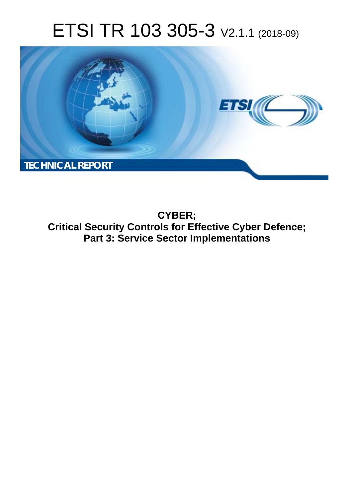# ETSI TR 103 305-3 V2.1.1 (2018-09)



**CYBER; Critical Security Controls for Effective Cyber Defence; Part 3: Service Sector Implementations**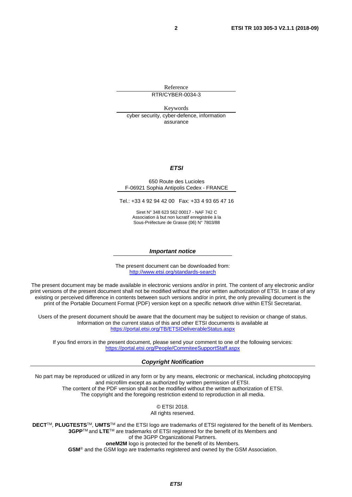Reference RTR/CYBER-0034-3

Keywords cyber security, cyber-defence, information assurance

#### *ETSI*

#### 650 Route des Lucioles F-06921 Sophia Antipolis Cedex - FRANCE

Tel.: +33 4 92 94 42 00 Fax: +33 4 93 65 47 16

Siret N° 348 623 562 00017 - NAF 742 C Association à but non lucratif enregistrée à la Sous-Préfecture de Grasse (06) N° 7803/88

#### *Important notice*

The present document can be downloaded from: <http://www.etsi.org/standards-search>

The present document may be made available in electronic versions and/or in print. The content of any electronic and/or print versions of the present document shall not be modified without the prior written authorization of ETSI. In case of any existing or perceived difference in contents between such versions and/or in print, the only prevailing document is the print of the Portable Document Format (PDF) version kept on a specific network drive within ETSI Secretariat.

Users of the present document should be aware that the document may be subject to revision or change of status. Information on the current status of this and other ETSI documents is available at <https://portal.etsi.org/TB/ETSIDeliverableStatus.aspx>

If you find errors in the present document, please send your comment to one of the following services: <https://portal.etsi.org/People/CommiteeSupportStaff.aspx>

#### *Copyright Notification*

No part may be reproduced or utilized in any form or by any means, electronic or mechanical, including photocopying and microfilm except as authorized by written permission of ETSI. The content of the PDF version shall not be modified without the written authorization of ETSI. The copyright and the foregoing restriction extend to reproduction in all media.

> © ETSI 2018. All rights reserved.

**DECT**TM, **PLUGTESTS**TM, **UMTS**TM and the ETSI logo are trademarks of ETSI registered for the benefit of its Members. **3GPP**TM and **LTE**TM are trademarks of ETSI registered for the benefit of its Members and of the 3GPP Organizational Partners. **oneM2M** logo is protected for the benefit of its Members.

**GSM**® and the GSM logo are trademarks registered and owned by the GSM Association.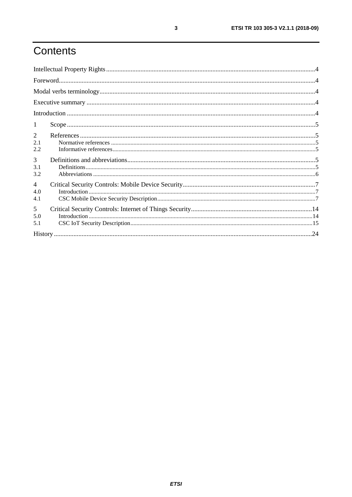# Contents

| 1                            |  |
|------------------------------|--|
| 2<br>2.1<br>2.2              |  |
| 3<br>3.1<br>3.2              |  |
| $\overline{4}$<br>4.0<br>4.1 |  |
| 5<br>5.0<br>5.1              |  |
|                              |  |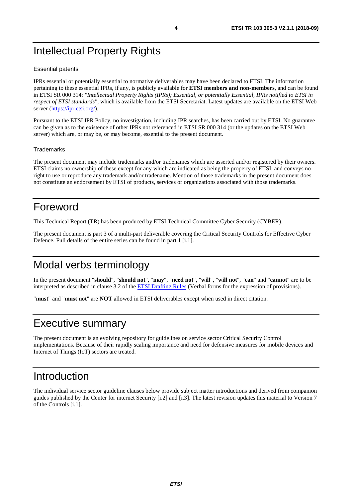# <span id="page-3-0"></span>Intellectual Property Rights

#### Essential patents

IPRs essential or potentially essential to normative deliverables may have been declared to ETSI. The information pertaining to these essential IPRs, if any, is publicly available for **ETSI members and non-members**, and can be found in ETSI SR 000 314: *"Intellectual Property Rights (IPRs); Essential, or potentially Essential, IPRs notified to ETSI in respect of ETSI standards"*, which is available from the ETSI Secretariat. Latest updates are available on the ETSI Web server (<https://ipr.etsi.org/>).

Pursuant to the ETSI IPR Policy, no investigation, including IPR searches, has been carried out by ETSI. No guarantee can be given as to the existence of other IPRs not referenced in ETSI SR 000 314 (or the updates on the ETSI Web server) which are, or may be, or may become, essential to the present document.

#### **Trademarks**

The present document may include trademarks and/or tradenames which are asserted and/or registered by their owners. ETSI claims no ownership of these except for any which are indicated as being the property of ETSI, and conveys no right to use or reproduce any trademark and/or tradename. Mention of those trademarks in the present document does not constitute an endorsement by ETSI of products, services or organizations associated with those trademarks.

# Foreword

This Technical Report (TR) has been produced by ETSI Technical Committee Cyber Security (CYBER).

The present document is part 3 of a multi-part deliverable covering the Critical Security Controls for Effective Cyber Defence. Full details of the entire series can be found in part 1 [\[i.1\]](#page-4-0).

# Modal verbs terminology

In the present document "**should**", "**should not**", "**may**", "**need not**", "**will**", "**will not**", "**can**" and "**cannot**" are to be interpreted as described in clause 3.2 of the [ETSI Drafting Rules](https://portal.etsi.org/Services/editHelp!/Howtostart/ETSIDraftingRules.aspx) (Verbal forms for the expression of provisions).

"**must**" and "**must not**" are **NOT** allowed in ETSI deliverables except when used in direct citation.

# Executive summary

The present document is an evolving repository for guidelines on service sector Critical Security Control implementations. Because of their rapidly scaling importance and need for defensive measures for mobile devices and Internet of Things (IoT) sectors are treated.

# Introduction

The individual service sector guideline clauses below provide subject matter introductions and derived from companion guides published by the Center for internet Security [\[i.2](#page-4-0)] and [[i.3](#page-4-0)]. The latest revision updates this material to Version 7 of the Controls [\[i.1\]](#page-4-0).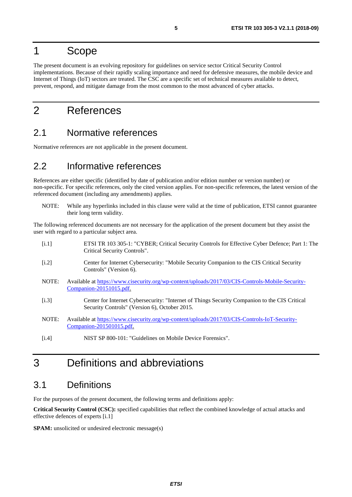### <span id="page-4-0"></span>1 Scope

The present document is an evolving repository for guidelines on service sector Critical Security Control implementations. Because of their rapidly scaling importance and need for defensive measures, the mobile device and Internet of Things (IoT) sectors are treated. The CSC are a specific set of technical measures available to detect, prevent, respond, and mitigate damage from the most common to the most advanced of cyber attacks.

# 2 References

#### 2.1 Normative references

Normative references are not applicable in the present document.

#### 2.2 Informative references

References are either specific (identified by date of publication and/or edition number or version number) or non-specific. For specific references, only the cited version applies. For non-specific references, the latest version of the referenced document (including any amendments) applies.

NOTE: While any hyperlinks included in this clause were valid at the time of publication, ETSI cannot guarantee their long term validity.

The following referenced documents are not necessary for the application of the present document but they assist the user with regard to a particular subject area.

| [i.1] | ETSI TR 103 305-1: "CYBER; Critical Security Controls for Effective Cyber Defence; Part 1: The<br>Critical Security Controls".                 |
|-------|------------------------------------------------------------------------------------------------------------------------------------------------|
| [i.2] | Center for Internet Cybersecurity: "Mobile Security Companion to the CIS Critical Security<br>Controls" (Version 6).                           |
| NOTE: | Available at https://www.cisecurity.org/wp-content/uploads/2017/03/CIS-Controls-Mobile-Security-<br>Companion-20151015.pdf.                    |
| [i.3] | Center for Internet Cybersecurity: "Internet of Things Security Companion to the CIS Critical<br>Security Controls" (Version 6), October 2015. |
| NOTE: | Available at https://www.cisecurity.org/wp-content/uploads/2017/03/CIS-Controls-IoT-Security-<br>$Comparison-201501015.pdf$ .                  |
| [i.4] | NIST SP 800-101: "Guidelines on Mobile Device Forensics".                                                                                      |

### 3 Definitions and abbreviations

#### 3.1 Definitions

For the purposes of the present document, the following terms and definitions apply:

**Critical Security Control (CSC):** specified capabilities that reflect the combined knowledge of actual attacks and effective defences of experts [i.1]

**SPAM:** unsolicited or undesired electronic message(s)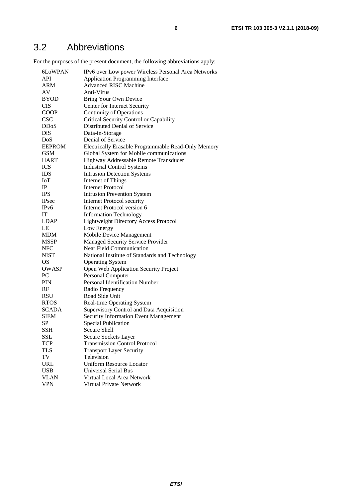### <span id="page-5-0"></span>3.2 Abbreviations

For the purposes of the present document, the following abbreviations apply:

| 6LoWPAN           | IPv6 over Low power Wireless Personal Area Networks              |
|-------------------|------------------------------------------------------------------|
| API               | Application Programming Interface                                |
| ARM               | <b>Advanced RISC Machine</b>                                     |
| AV                | Anti-Virus                                                       |
| <b>BYOD</b>       | Bring Your Own Device                                            |
| <b>CIS</b>        | Center for Internet Security                                     |
| <b>COOP</b>       | <b>Continuity of Operations</b>                                  |
| <b>CSC</b>        | Critical Security Control or Capability                          |
| <b>DDoS</b>       | Distributed Denial of Service                                    |
| DiS               | Data-in-Storage                                                  |
| DoS               | Denial of Service                                                |
| <b>EEPROM</b>     | Electrically Erasable Programmable Read-Only Memory              |
| <b>GSM</b>        | Global System for Mobile communications                          |
| <b>HART</b>       | Highway Addressable Remote Transducer                            |
| <b>ICS</b>        | <b>Industrial Control Systems</b>                                |
| <b>IDS</b>        | <b>Intrusion Detection Systems</b>                               |
| IoT               |                                                                  |
| IP                | <b>Internet of Things</b><br>Internet Protocol                   |
| <b>IPS</b>        |                                                                  |
| <b>IPsec</b>      | <b>Intrusion Prevention System</b>                               |
|                   | <b>Internet Protocol security</b><br>Internet Protocol version 6 |
| IPv6              |                                                                  |
| IT                | <b>Information Technology</b>                                    |
| <b>LDAP</b><br>LE | <b>Lightweight Directory Access Protocol</b>                     |
|                   | Low Energy                                                       |
| <b>MDM</b>        | Mobile Device Management                                         |
| <b>MSSP</b>       | Managed Security Service Provider                                |
| <b>NFC</b>        | <b>Near Field Communication</b>                                  |
| <b>NIST</b>       | National Institute of Standards and Technology                   |
| OS                | <b>Operating System</b>                                          |
| <b>OWASP</b>      | Open Web Application Security Project                            |
| PC                | Personal Computer                                                |
| PIN               | Personal Identification Number                                   |
| RF                | Radio Frequency                                                  |
| <b>RSU</b>        | Road Side Unit                                                   |
| <b>RTOS</b>       | Real-time Operating System                                       |
| <b>SCADA</b>      | Supervisory Control and Data Acquisition                         |
| <b>SIEM</b>       | Security Information Event Management                            |
| <b>SP</b>         | <b>Special Publication</b>                                       |
| <b>SSH</b>        | Secure Shell                                                     |
| SSL               | Secure Sockets Layer                                             |
| <b>TCP</b>        | <b>Transmission Control Protocol</b>                             |
| TLS               | <b>Transport Layer Security</b>                                  |
| TV                | Television                                                       |
| <b>URL</b>        | <b>Uniform Resource Locator</b>                                  |
| <b>USB</b>        | <b>Universal Serial Bus</b>                                      |
| <b>VLAN</b>       | Virtual Local Area Network                                       |
| <b>VPN</b>        | Virtual Private Network                                          |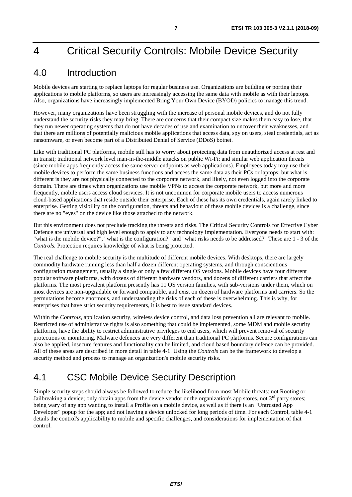# <span id="page-6-0"></span>4 Critical Security Controls: Mobile Device Security

### 4.0 Introduction

Mobile devices are starting to replace laptops for regular business use. Organizations are building or porting their applications to mobile platforms, so users are increasingly accessing the same data with mobile as with their laptops. Also, organizations have increasingly implemented Bring Your Own Device (BYOD) policies to manage this trend.

However, many organizations have been struggling with the increase of personal mobile devices, and do not fully understand the security risks they may bring. There are concerns that their compact size makes them easy to lose, that they run newer operating systems that do not have decades of use and examination to uncover their weaknesses, and that there are millions of potentially malicious mobile applications that access data, spy on users, steal credentials, act as ransomware, or even become part of a Distributed Denial of Service (DDoS) botnet.

Like with traditional PC platforms, mobile still has to worry about protecting data from unauthorized access at rest and in transit; traditional network level man-in-the-middle attacks on public Wi-Fi; and similar web application threats (since mobile apps frequently access the same server endpoints as web applications). Employees today may use their mobile devices to perform the same business functions and access the same data as their PCs or laptops; but what is different is they are not physically connected to the corporate network, and likely, not even logged into the corporate domain. There are times when organizations use mobile VPNs to access the corporate network, but more and more frequently, mobile users access cloud services. It is not uncommon for corporate mobile users to access numerous cloud-based applications that reside outside their enterprise. Each of these has its own credentials, again rarely linked to enterprise. Getting visibility on the configuration, threats and behaviour of these mobile devices is a challenge, since there are no "eyes" on the device like those attached to the network.

But this environment does not preclude tracking the threats and risks. The Critical Security Controls for Effective Cyber Defence are universal and high level enough to apply to any technology implementation. Everyone needs to start with: "what is the mobile device?", "what is the configuration?" and "what risks needs to be addressed?" These are 1 - 3 of the *Controls.* Protection requires knowledge of what is being protected.

The real challenge to mobile security is the multitude of different mobile devices. With desktops, there are largely commodity hardware running less than half a dozen different operating systems, and through conscientious configuration management, usually a single or only a few different OS versions. Mobile devices have four different popular software platforms, with dozens of different hardware vendors, and dozens of different carriers that affect the platforms. The most prevalent platform presently has 11 OS version families, with sub-versions under them, which on most devices are non-upgradable or forward compatible, and exist on dozen of hardware platforms and carriers. So the permutations become enormous, and understanding the risks of each of these is overwhelming. This is why, for enterprises that have strict security requirements, it is best to issue standard devices.

Within the *Controls*, application security, wireless device control, and data loss prevention all are relevant to mobile. Restricted use of administrative rights is also something that could be implemented, some MDM and mobile security platforms, have the ability to restrict administrative privileges to end users, which will prevent removal of security protections or monitoring. Malware defences are very different than traditional PC platforms. Secure configurations can also be applied, insecure features and functionality can be limited, and cloud based boundary defence can be provided. All of these areas are described in more detail in table 4-1. Using the *Controls* can be the framework to develop a security method and process to manage an organization's mobile security risks.

### 4.1 CSC Mobile Device Security Description

Simple security steps should always be followed to reduce the likelihood from most Mobile threats: not Rooting or Jailbreaking a device; only obtain apps from the device vendor or the organization's app stores, not  $3<sup>rd</sup>$  party stores; being wary of any app wanting to install a Profile on a mobile device, as well as if there is an "Untrusted App Developer" popup for the app; and not leaving a device unlocked for long periods of time. For each Control, table 4-1 details the control's applicability to mobile and specific challenges, and considerations for implementation of that control.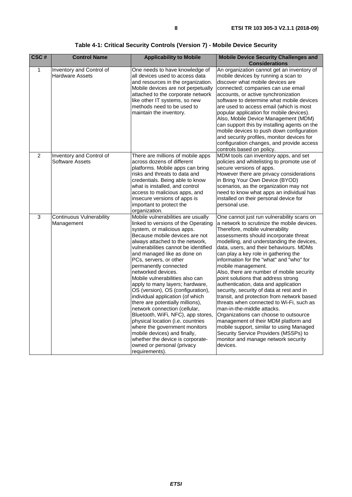**Table 4-1: Critical Security Controls (Version 7) - Mobile Device Security** 

| CSC# | <b>Control Name</b>                                | <b>Applicability to Mobile</b>                                                                                                                                                                                                                                                                                                                                                                                                                                                                                                                                                                                                                                                                                                                                                   | <b>Mobile Device Security Challenges and</b>                                                                                                                                                                                                                                                                                                                                                                                                                                                                                                                                                                                                                                                                                                                                                                                                                                                      |
|------|----------------------------------------------------|----------------------------------------------------------------------------------------------------------------------------------------------------------------------------------------------------------------------------------------------------------------------------------------------------------------------------------------------------------------------------------------------------------------------------------------------------------------------------------------------------------------------------------------------------------------------------------------------------------------------------------------------------------------------------------------------------------------------------------------------------------------------------------|---------------------------------------------------------------------------------------------------------------------------------------------------------------------------------------------------------------------------------------------------------------------------------------------------------------------------------------------------------------------------------------------------------------------------------------------------------------------------------------------------------------------------------------------------------------------------------------------------------------------------------------------------------------------------------------------------------------------------------------------------------------------------------------------------------------------------------------------------------------------------------------------------|
|      |                                                    |                                                                                                                                                                                                                                                                                                                                                                                                                                                                                                                                                                                                                                                                                                                                                                                  | <b>Considerations</b>                                                                                                                                                                                                                                                                                                                                                                                                                                                                                                                                                                                                                                                                                                                                                                                                                                                                             |
| 1    | Inventory and Control of<br><b>Hardware Assets</b> | One needs to have knowledge of<br>all devices used to access data<br>and resources in the organization.<br>Mobile devices are not perpetually<br>attached to the corporate network<br>like other IT systems, so new<br>methods need to be used to<br>maintain the inventory.                                                                                                                                                                                                                                                                                                                                                                                                                                                                                                     | An organization cannot get an inventory of<br>mobile devices by running a scan to<br>discover what mobile devices are<br>connected; companies can use email<br>accounts, or active synchronization<br>software to determine what mobile devices<br>are used to access email (which is most<br>popular application for mobile devices).<br>Also, Mobile Device Management (MDM)<br>can support this by installing agents on the<br>mobile devices to push down configuration<br>and security profiles, monitor devices for<br>configuration changes, and provide access<br>controls based on policy.                                                                                                                                                                                                                                                                                               |
| 2    | Inventory and Control of<br>Software Assets        | There are millions of mobile apps<br>across dozens of different<br>platforms. Mobile apps can bring<br>risks and threats to data and<br>credentials. Being able to know<br>what is installed, and control<br>access to malicious apps, and<br>insecure versions of apps is<br>important to protect the<br>organization.                                                                                                                                                                                                                                                                                                                                                                                                                                                          | MDM tools can inventory apps, and set<br>policies and whitelisting to promote use of<br>secure versions of apps.<br>However there are privacy considerations<br>in Bring Your Own Device (BYOD)<br>scenarios, as the organization may not<br>need to know what apps an individual has<br>installed on their personal device for<br>personal use.                                                                                                                                                                                                                                                                                                                                                                                                                                                                                                                                                  |
| 3    | <b>Continuous Vulnerability</b><br>Management      | Mobile vulnerabilities are usually<br>linked to versions of the Operating<br>system, or malicious apps.<br>Because mobile devices are not<br>always attached to the network,<br>vulnerabilities cannot be identified<br>and managed like as done on<br>PCs, servers, or other<br>permanently connected<br>networked devices.<br>Mobile vulnerabilities also can<br>apply to many layers; hardware,<br>OS (version), OS (configuration),<br>individual application (of which<br>there are potentially millions),<br>network connection (cellular,<br>Bluetooth, WiFi, NFC), app stores,<br>physical location (i.e. countries<br>where the government monitors<br>mobile devices) and finally,<br>whether the device is corporate-<br>owned or personal (privacy<br>requirements). | One cannot just run vulnerability scans on<br>a network to scrutinize the mobile devices.<br>Therefore, mobile vulnerability<br>assessments should incorporate threat<br>modelling, and understanding the devices,<br>data, users, and their behaviours. MDMs<br>can play a key role in gathering the<br>information for the "what" and "who" for<br>mobile management.<br>Also, there are number of mobile security<br>point solutions that address strong<br>authentication, data and application<br>security, security of data at rest and in<br>transit, and protection from network based<br>threats when connected to Wi-Fi, such as<br>man-in-the-middle attacks.<br>Organizations can choose to outsource<br>management of their MDM platform and<br>mobile support, similar to using Managed<br>Security Service Providers (MSSPs) to<br>monitor and manage network security<br>devices. |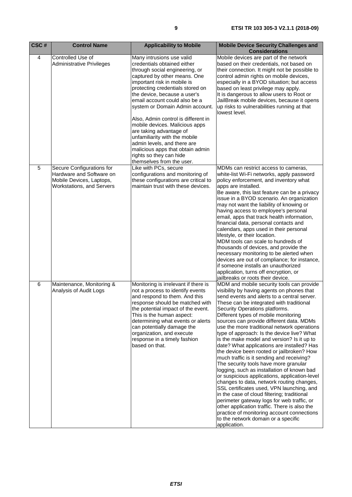| CSC# | <b>Control Name</b>                                                                                                   | <b>Applicability to Mobile</b>                                                                                                                                                                                                                                                                                                                                                                                                                                                                                                                                    | <b>Mobile Device Security Challenges and</b><br><b>Considerations</b>                                                                                                                                                                                                                                                                                                                                                                                                                                                                                                                                                                                                                                                                                                                                                                                                                                                                                                                                                                                                           |
|------|-----------------------------------------------------------------------------------------------------------------------|-------------------------------------------------------------------------------------------------------------------------------------------------------------------------------------------------------------------------------------------------------------------------------------------------------------------------------------------------------------------------------------------------------------------------------------------------------------------------------------------------------------------------------------------------------------------|---------------------------------------------------------------------------------------------------------------------------------------------------------------------------------------------------------------------------------------------------------------------------------------------------------------------------------------------------------------------------------------------------------------------------------------------------------------------------------------------------------------------------------------------------------------------------------------------------------------------------------------------------------------------------------------------------------------------------------------------------------------------------------------------------------------------------------------------------------------------------------------------------------------------------------------------------------------------------------------------------------------------------------------------------------------------------------|
| 4    | Controlled Use of<br><b>Administrative Privileges</b>                                                                 | Many intrusions use valid<br>credentials obtained either<br>through social engineering, or<br>captured by other means. One<br>important risk in mobile is<br>protecting credentials stored on<br>the device, because a user's<br>email account could also be a<br>system or Domain Admin account.<br>Also, Admin control is different in<br>mobile devices. Malicious apps<br>are taking advantage of<br>unfamiliarity with the mobile<br>admin levels, and there are<br>malicious apps that obtain admin<br>rights so they can hide<br>themselves from the user. | Mobile devices are part of the network<br>based on their credentials, not based on<br>their connection. It might not be possible to<br>control admin rights on mobile devices,<br>especially in a BYOD situation; but access<br>based on least privilege may apply.<br>It is dangerous to allow users to Root or<br>JailBreak mobile devices, because it opens<br>up risks to vulnerabilities running at that<br>lowest level.                                                                                                                                                                                                                                                                                                                                                                                                                                                                                                                                                                                                                                                  |
| 5    | Secure Configurations for<br>Hardware and Software on<br>Mobile Devices, Laptops,<br><b>Workstations, and Servers</b> | Like with PCs, secure<br>configurations and monitoring of<br>these configurations are critical to<br>maintain trust with these devices.                                                                                                                                                                                                                                                                                                                                                                                                                           | MDMs can restrict access to cameras,<br>white-list Wi-Fi networks, apply password<br>policy enforcement, and inventory what<br>apps are installed.<br>Be aware, this last feature can be a privacy<br>issue in a BYOD scenario. An organization<br>may not want the liability of knowing or<br>having access to employee's personal<br>email, apps that track health information,<br>financial data, personal contacts and<br>calendars, apps used in their personal<br>lifestyle, or their location.<br>MDM tools can scale to hundreds of<br>thousands of devices, and provide the<br>necessary monitoring to be alerted when<br>devices are out of compliance; for instance,<br>if someone installs an unauthorized<br>application, turns off encryption, or<br>jailbreaks or roots their device.                                                                                                                                                                                                                                                                            |
| 6    | Maintenance, Monitoring &<br>Analysis of Audit Logs                                                                   | Monitoring is irrelevant if there is<br>not a process to identify events<br>and respond to them. And this<br>response should be matched with<br>the potential impact of the event.<br>This is the human aspect:<br>determining what events or alerts<br>can potentially damage the<br>organization, and execute<br>response in a timely fashion<br>based on that.                                                                                                                                                                                                 | MDM and mobile security tools can provide<br>visibility by having agents on phones that<br>send events and alerts to a central server.<br>These can be integrated with traditional<br>Security Operations platforms.<br>Different types of mobile monitoring<br>sources can provide different data. MDMs<br>use the more traditional network operations<br>type of approach: Is the device live? What<br>is the make model and version? Is it up to<br>date? What applications are installed? Has<br>the device been rooted or jailbroken? How<br>much traffic is it sending and receiving?<br>The security tools have more granular<br>logging, such as installation of known bad<br>or suspicious applications, application-level<br>changes to data, network routing changes,<br>SSL certificates used, VPN launching, and<br>in the case of cloud filtering; traditional<br>perimeter gateway logs for web traffic, or<br>other application traffic. There is also the<br>practice of monitoring account connections<br>to the network domain or a specific<br>application. |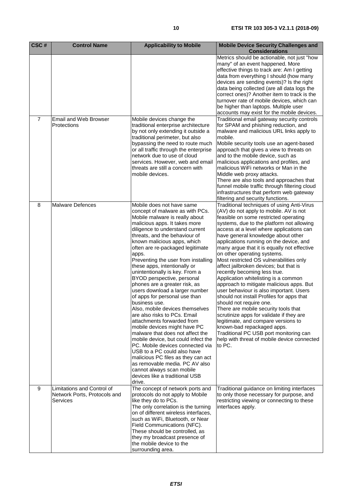| CSC#           | <b>Control Name</b>          | <b>Applicability to Mobile</b>                                          | <b>Mobile Device Security Challenges and</b>                                              |
|----------------|------------------------------|-------------------------------------------------------------------------|-------------------------------------------------------------------------------------------|
|                |                              |                                                                         | <b>Considerations</b>                                                                     |
|                |                              |                                                                         | Metrics should be actionable, not just "how                                               |
|                |                              |                                                                         | many" of an event happened. More                                                          |
|                |                              |                                                                         | effective things to track are: Am I getting                                               |
|                |                              |                                                                         | data from everything I should (how many                                                   |
|                |                              |                                                                         | devices are sending events)? Is the right                                                 |
|                |                              |                                                                         | data being collected (are all data logs the                                               |
|                |                              |                                                                         | correct ones)? Another item to track is the<br>turnover rate of mobile devices, which can |
|                |                              |                                                                         | be higher than laptops. Multiple user                                                     |
|                |                              |                                                                         | accounts may exist for the mobile devices.                                                |
| $\overline{7}$ | Email and Web Browser        | Mobile devices change the                                               | Traditional email gateway security controls                                               |
|                | Protections                  | traditional enterprise architecture                                     | for SPAM and phishing reduction, and                                                      |
|                |                              | by not only extending it outside a                                      | malware and malicious URL links apply to                                                  |
|                |                              | traditional perimeter, but also                                         | mobile.                                                                                   |
|                |                              | bypassing the need to route much                                        | Mobile security tools use an agent-based                                                  |
|                |                              | or all traffic through the enterprise                                   | approach that gives a view to threats on                                                  |
|                |                              | network due to use of cloud                                             | and to the mobile device, such as                                                         |
|                |                              | services. However, web and email                                        | malicious applications and profiles, and                                                  |
|                |                              | threats are still a concern with                                        | malicious WiFi networks or Man in the                                                     |
|                |                              | mobile devices.                                                         | Middle web proxy attacks.                                                                 |
|                |                              |                                                                         | There are also tools and approaches that                                                  |
|                |                              |                                                                         | funnel mobile traffic through filtering cloud                                             |
|                |                              |                                                                         | infrastructures that perform web gateway                                                  |
|                | <b>Malware Defences</b>      |                                                                         | filtering and security functions.                                                         |
| 8              |                              | Mobile does not have same<br>concept of malware as with PCs.            | Traditional techniques of using Anti-Virus<br>(AV) do not apply to mobile. AV is not      |
|                |                              | Mobile malware is really about                                          | feasible on some restricted operating                                                     |
|                |                              | malicious apps. It takes more                                           | systems, due to the platform not allowing                                                 |
|                |                              | diligence to understand current                                         | access at a level where applications can                                                  |
|                |                              | threats, and the behaviour of                                           | have general knowledge about other                                                        |
|                |                              | known malicious apps, which                                             | applications running on the device, and                                                   |
|                |                              | often are re-packaged legitimate                                        | many argue that it is equally not effective                                               |
|                |                              | apps.                                                                   | on other operating systems.                                                               |
|                |                              | Preventing the user from installing                                     | Most restricted OS vulnerabilities only                                                   |
|                |                              | these apps, intentionally or                                            | affect jailbroken devices; but that is                                                    |
|                |                              | unintentionally is key. From a                                          | recently becoming less true.                                                              |
|                |                              | BYOD perspective, personal                                              | Application whitelisting is a common                                                      |
|                |                              | phones are a greater risk, as                                           | approach to mitigate malicious apps. But                                                  |
|                |                              | users download a larger number                                          | user behaviour is also important. Users                                                   |
|                |                              | of apps for personal use than                                           | should not install Profiles for apps that                                                 |
|                |                              | business use.                                                           | should not require one.                                                                   |
|                |                              | Also, mobile devices themselves                                         | There are mobile security tools that                                                      |
|                |                              | are also risks to PCs. Email                                            | scrutinize apps for validate if they are                                                  |
|                |                              | attachments forwarded from                                              | legitimate, and compare versions to                                                       |
|                |                              | mobile devices might have PC                                            | known-bad repackaged apps.                                                                |
|                |                              | malware that does not affect the<br>mobile device, but could infect the | Traditional PC USB port monitoring can<br>help with threat of mobile device connected     |
|                |                              | PC. Mobile devices connected via                                        | to PC.                                                                                    |
|                |                              | USB to a PC could also have                                             |                                                                                           |
|                |                              | malicious PC files as they can act                                      |                                                                                           |
|                |                              | as removable media. PC AV also                                          |                                                                                           |
|                |                              | cannot always scan mobile                                               |                                                                                           |
|                |                              | devices like a traditional USB                                          |                                                                                           |
|                |                              | drive.                                                                  |                                                                                           |
| 9              | Limitations and Control of   | The concept of network ports and                                        | Traditional guidance on limiting interfaces                                               |
|                | Network Ports, Protocols and | protocols do not apply to Mobile                                        | to only those necessary for purpose, and                                                  |
|                | Services                     | like they do to PCs.                                                    | restricting viewing or connecting to these                                                |
|                |                              | The only correlation is the turning                                     | interfaces apply.                                                                         |
|                |                              | on of different wireless interfaces,                                    |                                                                                           |
|                |                              | such as WiFi, Bluetooth, or Near                                        |                                                                                           |
|                |                              | Field Communications (NFC).                                             |                                                                                           |
|                |                              | These should be controlled, as                                          |                                                                                           |
|                |                              | they my broadcast presence of                                           |                                                                                           |
|                |                              | the mobile device to the                                                |                                                                                           |
|                |                              | surrounding area.                                                       |                                                                                           |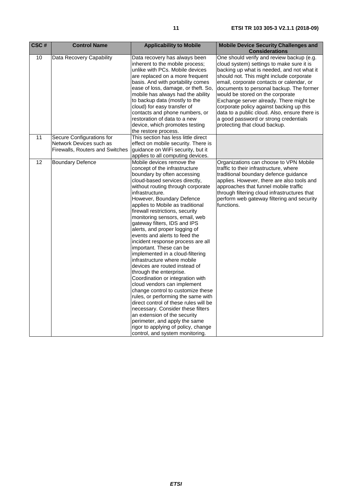| CSC# | <b>Control Name</b>                                                                     | <b>Applicability to Mobile</b>                                                                                                                                                                                                                                                                                                                                                                                                                                                                                                                                                                                                                                                                                                                                                                                                                                                                                                                                                                    | <b>Mobile Device Security Challenges and</b><br><b>Considerations</b>                                                                                                                                                                                                                                                                                                                                                                                                                                                           |
|------|-----------------------------------------------------------------------------------------|---------------------------------------------------------------------------------------------------------------------------------------------------------------------------------------------------------------------------------------------------------------------------------------------------------------------------------------------------------------------------------------------------------------------------------------------------------------------------------------------------------------------------------------------------------------------------------------------------------------------------------------------------------------------------------------------------------------------------------------------------------------------------------------------------------------------------------------------------------------------------------------------------------------------------------------------------------------------------------------------------|---------------------------------------------------------------------------------------------------------------------------------------------------------------------------------------------------------------------------------------------------------------------------------------------------------------------------------------------------------------------------------------------------------------------------------------------------------------------------------------------------------------------------------|
| 10   | Data Recovery Capability                                                                | Data recovery has always been<br>inherent to the mobile process;<br>unlike with PCs. Mobile devices<br>are replaced on a more frequent<br>basis. And with portability comes<br>ease of loss, damage, or theft. So,<br>mobile has always had the ability<br>to backup data (mostly to the<br>cloud) for easy transfer of<br>contacts and phone numbers, or<br>restoration of data to a new<br>device, which promotes testing<br>the restore process.                                                                                                                                                                                                                                                                                                                                                                                                                                                                                                                                               | One should verify and review backup (e.g.<br>cloud system) settings to make sure it is<br>backing up what is needed, and not what it<br>should not. This might include corporate<br>email, corporate contacts or calendar, or<br>documents to personal backup. The former<br>would be stored on the corporate<br>Exchange server already. There might be<br>corporate policy against backing up this<br>data to a public cloud. Also, ensure there is<br>a good password or strong credentials<br>protecting that cloud backup. |
| 11   | Secure Configurations for<br>Network Devices such as<br>Firewalls, Routers and Switches | This section has less little direct<br>effect on mobile security. There is<br>guidance on WiFi security, but it<br>applies to all computing devices.                                                                                                                                                                                                                                                                                                                                                                                                                                                                                                                                                                                                                                                                                                                                                                                                                                              |                                                                                                                                                                                                                                                                                                                                                                                                                                                                                                                                 |
| 12   | <b>Boundary Defence</b>                                                                 | Mobile devices remove the<br>concept of the infrastructure<br>boundary by often accessing<br>cloud-based services directly,<br>without routing through corporate<br>infrastructure.<br>However, Boundary Defence<br>applies to Mobile as traditional<br>firewall restrictions, security<br>monitoring sensors, email, web<br>gateway filters, IDS and IPS<br>alerts, and proper logging of<br>events and alerts to feed the<br>incident response process are all<br>important. These can be<br>implemented in a cloud-filtering<br>infrastructure where mobile<br>devices are routed instead of<br>through the enterprise.<br>Coordination or integration with<br>cloud vendors can implement<br>change control to customize these<br>rules, or performing the same with<br>direct control of these rules will be<br>necessary. Consider these filters<br>an extension of the security<br>perimeter, and apply the same<br>rigor to applying of policy, change<br>control, and system monitoring. | Organizations can choose to VPN Mobile<br>traffic to their infrastructure, where<br>traditional boundary defence guidance<br>applies. However, there are also tools and<br>approaches that funnel mobile traffic<br>through filtering cloud infrastructures that<br>perform web gateway filtering and security<br>functions.                                                                                                                                                                                                    |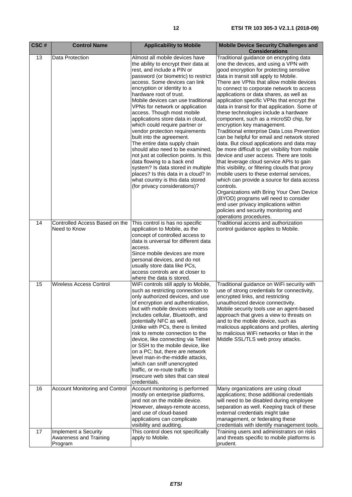| CSC# | <b>Control Name</b>                                       | <b>Applicability to Mobile</b>                                                                                                                                                                                                                                                                                                                                                                                                                                                                                                                                                                                                                                                                                                                                                    | <b>Mobile Device Security Challenges and</b><br><b>Considerations</b>                                                                                                                                                                                                                                                                                                                                                                                                                                                                                                                                                                                                                                                                                                                                                                                                                                                                                                                                                                                                                                                                                                    |
|------|-----------------------------------------------------------|-----------------------------------------------------------------------------------------------------------------------------------------------------------------------------------------------------------------------------------------------------------------------------------------------------------------------------------------------------------------------------------------------------------------------------------------------------------------------------------------------------------------------------------------------------------------------------------------------------------------------------------------------------------------------------------------------------------------------------------------------------------------------------------|--------------------------------------------------------------------------------------------------------------------------------------------------------------------------------------------------------------------------------------------------------------------------------------------------------------------------------------------------------------------------------------------------------------------------------------------------------------------------------------------------------------------------------------------------------------------------------------------------------------------------------------------------------------------------------------------------------------------------------------------------------------------------------------------------------------------------------------------------------------------------------------------------------------------------------------------------------------------------------------------------------------------------------------------------------------------------------------------------------------------------------------------------------------------------|
| 13   | Data Protection                                           | Almost all mobile devices have<br>the ability to encrypt their data at<br>rest, and include a PIN or<br>password (or biometric) to restrict<br>access. Some devices can link<br>encryption or identity to a<br>hardware root of trust.<br>Mobile devices can use traditional<br>VPNs for network or application<br>access. Though most mobile<br>applications store data in cloud,<br>which could require partner or<br>vendor protection requirements<br>built into the agreement.<br>The entire data supply chain<br>should also need to be examined,<br>not just at collection points. Is this<br>data flowing to a back end<br>system? Is data stored in multiple<br>places? Is this data in a cloud? In<br>what country is this data stored<br>(for privacy considerations)? | Traditional guidance on encrypting data<br>one the devices, and using a VPN with<br>good encryption for protecting sensitive<br>data in transit still apply to Mobile.<br>There are VPNs that allow mobile devices<br>to connect to corporate network to access<br>applications or data shares, as well as<br>application specific VPNs that encrypt the<br>data in transit for that application. Some of<br>these technologies include a hardware<br>component, such as a microSD chip, for<br>encryption key management.<br>Traditional enterprise Data Loss Prevention<br>can be helpful for email and network stored<br>data. But cloud applications and data may<br>be more difficult to get visibility from mobile<br>device and user access. There are tools<br>that leverage cloud service APIs to gain<br>this visibility, or filtering clouds that proxy<br>mobile users to these external services,<br>which can provide a source for data access<br>controls.<br>Organizations with Bring Your Own Device<br>(BYOD) programs will need to consider<br>end user privacy implications within<br>policies and security monitoring and<br>operations procedures. |
| 14   | Controlled Access Based on the<br>Need to Know            | This control is has no specific<br>application to Mobile, as the<br>concept of controlled access to<br>data is universal for different data<br>access.<br>Since mobile devices are more<br>personal devices, and do not<br>usually store data like PCs,<br>access controls are at closer to<br>where the data is stored.                                                                                                                                                                                                                                                                                                                                                                                                                                                          | Traditional access and authorization<br>control guidance applies to Mobile.                                                                                                                                                                                                                                                                                                                                                                                                                                                                                                                                                                                                                                                                                                                                                                                                                                                                                                                                                                                                                                                                                              |
| 15   | Wireless Access Control                                   | WiFi controls still apply to Mobile,<br>such as restricting connection to<br>only authorized devices, and use<br>of encryption and authentication,<br>but with mobile devices wireless<br>includes cellular, Bluetooth, and<br>potentially NFC as well.<br>Unlike with PCs, there is limited<br>risk to remote connection to the<br>device, like connecting via Telnet<br>or SSH to the mobile device, like<br>on a PC; but, there are network<br>level man-in-the-middle attacks,<br>which can sniff unencrypted<br>traffic, or re-route traffic to<br>insecure web sites that can steal<br>credentials.                                                                                                                                                                         | Traditional guidance on WiFi security with<br>use of strong credentials for connectivity,<br>encrypted links, and restricting<br>unauthorized device connectivity.<br>Mobile security tools use an agent-based<br>approach that gives a view to threats on<br>and to the mobile device, such as<br>malicious applications and profiles, alerting<br>to malicious WiFi networks or Man in the<br>Middle SSL/TLS web proxy attacks.                                                                                                                                                                                                                                                                                                                                                                                                                                                                                                                                                                                                                                                                                                                                        |
| 16   | Account Monitoring and Control                            | Account monitoring is performed<br>mostly on enterprise platforms,<br>and not on the mobile device.<br>However, always-remote access,<br>and use of cloud-based<br>applications can complicate<br>visibility and auditing.                                                                                                                                                                                                                                                                                                                                                                                                                                                                                                                                                        | Many organizations are using cloud<br>applications; those additional credentials<br>will need to be disabled during employee<br>separation as well. Keeping track of these<br>external credentials might take<br>management, or federating these<br>credentials with identify management tools.                                                                                                                                                                                                                                                                                                                                                                                                                                                                                                                                                                                                                                                                                                                                                                                                                                                                          |
| 17   | Implement a Security<br>Awareness and Training<br>Program | This control does not specifically<br>apply to Mobile.                                                                                                                                                                                                                                                                                                                                                                                                                                                                                                                                                                                                                                                                                                                            | Training users and administrators on risks<br>and threats specific to mobile platforms is<br>prudent.                                                                                                                                                                                                                                                                                                                                                                                                                                                                                                                                                                                                                                                                                                                                                                                                                                                                                                                                                                                                                                                                    |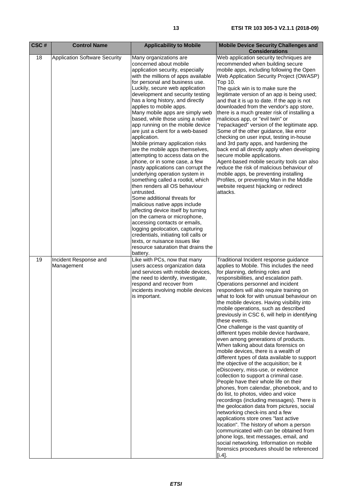| CSC# | <b>Control Name</b>                  | <b>Applicability to Mobile</b>                                                                                                                                                                                                                                                                                                                                                                                                                                                                                                                                                                                                                                                                                                                                                                                                                                                                                                                                                                                                                                                                                      | <b>Mobile Device Security Challenges and</b><br><b>Considerations</b>                                                                                                                                                                                                                                                                                                                                                                                                                                                                                                                                                                                                                                                                                                                                                                                                                                                                                                                                                                                                                                                                                                                                                                                                                                                                                                              |
|------|--------------------------------------|---------------------------------------------------------------------------------------------------------------------------------------------------------------------------------------------------------------------------------------------------------------------------------------------------------------------------------------------------------------------------------------------------------------------------------------------------------------------------------------------------------------------------------------------------------------------------------------------------------------------------------------------------------------------------------------------------------------------------------------------------------------------------------------------------------------------------------------------------------------------------------------------------------------------------------------------------------------------------------------------------------------------------------------------------------------------------------------------------------------------|------------------------------------------------------------------------------------------------------------------------------------------------------------------------------------------------------------------------------------------------------------------------------------------------------------------------------------------------------------------------------------------------------------------------------------------------------------------------------------------------------------------------------------------------------------------------------------------------------------------------------------------------------------------------------------------------------------------------------------------------------------------------------------------------------------------------------------------------------------------------------------------------------------------------------------------------------------------------------------------------------------------------------------------------------------------------------------------------------------------------------------------------------------------------------------------------------------------------------------------------------------------------------------------------------------------------------------------------------------------------------------|
| 18   | <b>Application Software Security</b> | Many organizations are<br>concerned about mobile<br>application security, especially<br>with the millions of apps available<br>for personal and business use.<br>Luckily, secure web application<br>development and security testing<br>has a long history, and directly<br>applies to mobile apps.<br>Many mobile apps are simply web<br>based, while those using a native<br>app running on the mobile device<br>are just a client for a web-based<br>application.<br>Mobile primary application risks<br>are the mobile apps themselves,<br>attempting to access data on the<br>phone, or in some case, a few<br>nasty applications can corrupt the<br>underlying operation system in<br>something called a rootkit, which<br>then renders all OS behaviour<br>untrusted.<br>Some additional threats for<br>malicious native apps include<br>affecting device itself by turning<br>on the camera or microphone,<br>accessing contacts or emails,<br>logging geolocation, capturing<br>credentials, initiating toll calls or<br>texts, or nuisance issues like<br>resource saturation that drains the<br>battery. | Web application security techniques are<br>recommended when building secure<br>mobile apps, including following the Open<br>Web Application Security Project (OWASP)<br>Top 10.<br>The quick win is to make sure the<br>legitimate version of an app is being used;<br>and that it is up to date. If the app is not<br>downloaded from the vendor's app store,<br>there is a much greater risk of installing a<br>malicious app, or "evil twin" or<br>'repackaged" version of the legitimate app.<br>Some of the other guidance, like error<br>checking on user input, testing in-house<br>and 3rd party apps, and hardening the<br>back end all directly apply when developing<br>secure mobile applications.<br>Agent-based mobile security tools can also<br>reduce the risk of malicious behaviour of<br>mobile apps, be preventing installing<br>Profiles, or preventing Man in the Middle<br>website request hijacking or redirect<br>attacks.                                                                                                                                                                                                                                                                                                                                                                                                                               |
| 19   | Incident Response and<br>Management  | Like with PCs, now that many<br>users access organization data<br>and services with mobile devices,<br>the need to identify, investigate,<br>respond and recover from<br>incidents involving mobile devices<br>is important.                                                                                                                                                                                                                                                                                                                                                                                                                                                                                                                                                                                                                                                                                                                                                                                                                                                                                        | Traditional Incident response guidance<br>applies to Mobile. This includes the need<br>for planning, defining roles and<br>responsibilities, and escalation path.<br>Operations personnel and incident<br>responders will also require training on<br>what to look for with unusual behaviour on<br>the mobile devices. Having visibility into<br>mobile operations, such as described<br>previously in CSC 6, will help in identifying<br>these events.<br>One challenge is the vast quantity of<br>different types mobile device hardware,<br>even among generations of products.<br>When talking about data forensics on<br>mobile devices, there is a wealth of<br>different types of data available to support<br>the objective of the acquisition; be it<br>eDiscovery, miss-use, or evidence<br>collection to support a criminal case.<br>People have their whole life on their<br>phones, from calendar, phonebook, and to<br>do list, to photos, video and voice<br>recordings (including messages). There is<br>the geolocation data from pictures, social<br>networking check-ins and a few<br>applications store ones "last active<br>location". The history of whom a person<br>communicated with can be obtained from<br>phone logs, text messages, email, and<br>social networking. Information on mobile<br>forensics procedures should be referenced<br>$[i.4]$ . |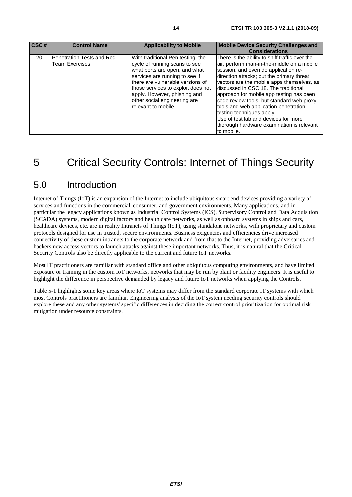<span id="page-13-0"></span>

| CSC# | <b>Control Name</b>                         | <b>Applicability to Mobile</b>                                                                                                                                                                                                                                                                         | <b>Mobile Device Security Challenges and</b><br><b>Considerations</b>                                                                                                                                                                                                                                                                                                                                                                                                                                                                     |
|------|---------------------------------------------|--------------------------------------------------------------------------------------------------------------------------------------------------------------------------------------------------------------------------------------------------------------------------------------------------------|-------------------------------------------------------------------------------------------------------------------------------------------------------------------------------------------------------------------------------------------------------------------------------------------------------------------------------------------------------------------------------------------------------------------------------------------------------------------------------------------------------------------------------------------|
| 20   | Penetration Tests and Red<br>Team Exercises | With traditional Pen testing, the<br>cycle of running scans to see<br>what ports are open, and what<br>services are running to see if<br>there are vulnerable versions of<br>those services to exploit does not<br>apply. However, phishing and<br>other social engineering are<br>relevant to mobile. | There is the ability to sniff traffic over the<br>air, perform man-in-the-middle on a mobile<br>session, and even do application re-<br>direction attacks; but the primary threat<br>vectors are the mobile apps themselves, as<br>discussed in CSC 18. The traditional<br>approach for mobile app testing has been<br>code review tools, but standard web proxy<br>tools and web application penetration<br>testing techniques apply.<br>Use of test lab and devices for more<br>thorough hardware examination is relevant<br>to mobile. |

# 5 Critical Security Controls: Internet of Things Security

#### 5.0 Introduction

Internet of Things (IoT) is an expansion of the Internet to include ubiquitous smart end devices providing a variety of services and functions in the commercial, consumer, and government environments. Many applications, and in particular the legacy applications known as Industrial Control Systems (ICS), Supervisory Control and Data Acquisition (SCADA) systems, modern digital factory and health care networks, as well as onboard systems in ships and cars, healthcare devices, etc. are in reality Intranets of Things (IoT), using standalone networks, with proprietary and custom protocols designed for use in trusted, secure environments. Business exigencies and efficiencies drive increased connectivity of these custom intranets to the corporate network and from that to the Internet, providing adversaries and hackers new access vectors to launch attacks against these important networks. Thus, it is natural that the Critical Security Controls also be directly applicable to the current and future IoT networks.

Most IT practitioners are familiar with standard office and other ubiquitous computing environments, and have limited exposure or training in the custom IoT networks, networks that may be run by plant or facility engineers. It is useful to highlight the difference in perspective demanded by legacy and future IoT networks when applying the Controls.

Table 5-1 highlights some key areas where IoT systems may differ from the standard corporate IT systems with which most Controls practitioners are familiar. Engineering analysis of the IoT system needing security controls should explore these and any other systems' specific differences in deciding the correct control prioritization for optimal risk mitigation under resource constraints.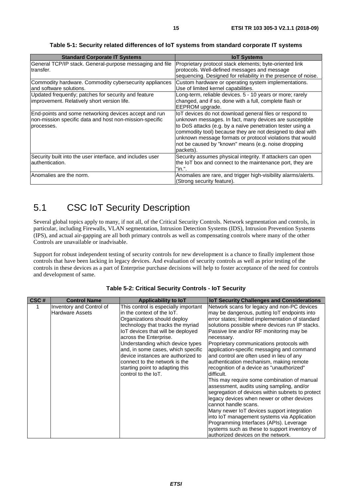<span id="page-14-0"></span>

| <b>Standard Corporate IT Systems</b>                                                                                           | <b>IoT Systems</b>                                                                                                                                                                                                                                                                                                                                                              |
|--------------------------------------------------------------------------------------------------------------------------------|---------------------------------------------------------------------------------------------------------------------------------------------------------------------------------------------------------------------------------------------------------------------------------------------------------------------------------------------------------------------------------|
| General TCP/IP stack. General-purpose messaging and file<br>transfer.                                                          | Proprietary protocol stack elements; byte-oriented link<br>protocols. Well-defined messages and message<br>sequencing. Designed for reliability in the presence of noise.                                                                                                                                                                                                       |
| Commodity hardware. Commodity cybersecurity appliances<br>land software solutions.                                             | Custom hardware or operating system implementations.<br>Use of limited kernel capabilities.                                                                                                                                                                                                                                                                                     |
| Updated frequently; patches for security and feature<br>improvement. Relatively short version life.                            | Long-term, reliable devices. 5 - 10 years or more; rarely<br>changed, and if so, done with a full, complete flash or<br>EEPROM upgrade.                                                                                                                                                                                                                                         |
| End-points and some networking devices accept and run<br>non-mission specific data and host non-mission-specific<br>processes. | IoT devices do not download general files or respond to<br>unknown messages. In fact, many devices are susceptible<br>to DoS attacks (e.g. by a naïve penetration tester using a<br>commodity tool) because they are not designed to deal with<br>unknown message formats or protocol violations that would<br>not be caused by "known" means (e.g. noise dropping<br>packets). |
| Security built into the user interface, and includes user<br>lauthentication.                                                  | Security assumes physical integrity. If attackers can open<br>the IoT box and connect to the maintenance port, they are<br>"in.".                                                                                                                                                                                                                                               |
| Anomalies are the norm.                                                                                                        | Anomalies are rare, and trigger high-visibility alarms/alerts.<br>(Strong security feature).                                                                                                                                                                                                                                                                                    |

**Table 5-1: Security related differences of IoT systems from standard corporate IT systems** 

### 5.1 CSC IoT Security Description

Several global topics apply to many, if not all, of the Critical Security Controls. Network segmentation and controls, in particular, including Firewalls, VLAN segmentation, Intrusion Detection Systems (IDS), Intrusion Prevention Systems (IPS), and actual air-gapping are all both primary controls as well as compensating controls where many of the other Controls are unavailable or inadvisable.

Support for robust independent testing of security controls for new development is a chance to finally implement those controls that have been lacking in legacy devices. And evaluation of security controls as well as prior testing of the controls in these devices as a part of Enterprise purchase decisions will help to foster acceptance of the need for controls and development of same.

| CSC# | <b>Control Name</b>                                | Applicability to IoT                                                                                                                                                                                                                                                                                                                                                                                              | <b>IoT Security Challenges and Considerations</b>                                                                                                                                                                                                                                                                                                                                                                                                                                                                                                                                                                                                                                                                                                                                                                                                                                                                                                                |
|------|----------------------------------------------------|-------------------------------------------------------------------------------------------------------------------------------------------------------------------------------------------------------------------------------------------------------------------------------------------------------------------------------------------------------------------------------------------------------------------|------------------------------------------------------------------------------------------------------------------------------------------------------------------------------------------------------------------------------------------------------------------------------------------------------------------------------------------------------------------------------------------------------------------------------------------------------------------------------------------------------------------------------------------------------------------------------------------------------------------------------------------------------------------------------------------------------------------------------------------------------------------------------------------------------------------------------------------------------------------------------------------------------------------------------------------------------------------|
|      | Inventory and Control of<br><b>Hardware Assets</b> | This control is especially important<br>lin the context of the IoT.<br>Organizations should deploy<br>technology that tracks the myriad<br>IoT devices that will be deployed<br>across the Enterprise.<br>Understanding which device types<br>and, in some cases, which specific<br>device instances are authorized to<br>connect to the network is the<br>starting point to adapting this<br>control to the IoT. | Network scans for legacy and non-PC devices<br>may be dangerous, putting IoT endpoints into<br>error states; limited implementation of standard<br>solutions possible where devices run IP stacks.<br>Passive line and/or RF monitoring may be<br>necessary.<br>Proprietary communications protocols with<br>application-specific messaging and command<br>and control are often used in lieu of any<br>authentication mechanism, making remote<br>recognition of a device as "unauthorized"<br>difficult.<br>This may require some combination of manual<br>assessment, audits using sampling, and/or<br>segregation of devices within subnets to protect<br>legacy devices when newer or other devices<br>cannot handle scans.<br>Many newer IoT devices support integration<br>into IoT management systems via Application<br>Programming Interfaces (APIs). Leverage<br>systems such as these to support inventory of<br>lauthorized devices on the network. |

**Table 5-2: Critical Security Controls - IoT Security**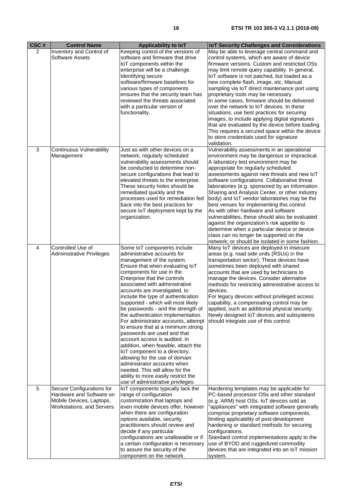| CSC#           | <b>Control Name</b>                                                                                            | <b>Applicability to loT</b>                                                                                                                                                                                                                                                                                                                                                                                                                                                                                                                                                                                                                                                                                                                                                                                             | <b>IoT Security Challenges and Considerations</b>                                                                                                                                                                                                                                                                                                                                                                                                                                                                                                                                                                                                                                                                                                                   |
|----------------|----------------------------------------------------------------------------------------------------------------|-------------------------------------------------------------------------------------------------------------------------------------------------------------------------------------------------------------------------------------------------------------------------------------------------------------------------------------------------------------------------------------------------------------------------------------------------------------------------------------------------------------------------------------------------------------------------------------------------------------------------------------------------------------------------------------------------------------------------------------------------------------------------------------------------------------------------|---------------------------------------------------------------------------------------------------------------------------------------------------------------------------------------------------------------------------------------------------------------------------------------------------------------------------------------------------------------------------------------------------------------------------------------------------------------------------------------------------------------------------------------------------------------------------------------------------------------------------------------------------------------------------------------------------------------------------------------------------------------------|
| 2              | Inventory and Control of<br><b>Software Assets</b>                                                             | Keeping control of the versions of<br>software and firmware that drive<br>IoT components within the<br>enterprise will be a challenge.<br>Identifying secure<br>software/firmware baselines for<br>various types of components<br>ensures that the security team has<br>reviewed the threats associated<br>with a particular version of<br>functionality.                                                                                                                                                                                                                                                                                                                                                                                                                                                               | May be able to leverage central command and<br>control systems, which are aware of device<br>firmware versions. Custom and restricted OSs<br>may limit remote query capability. In general,<br>IoT software is not patched, but loaded as a<br>new complete flash, image, etc. Manual<br>sampling via IoT direct maintenance port using<br>proprietary tools may be necessary.<br>In some cases, firmware should be delivered<br>over the network to IoT devices. In these<br>situations, use best practices for securing<br>images, to include applying digital signatures<br>that are evaluated by the device before loading.<br>This requires a secured space within the device<br>to store credentials used for signature<br>validation.                        |
| $\mathbf{3}$   | <b>Continuous Vulnerability</b><br>Management                                                                  | Just as with other devices on a<br>network, regularly scheduled<br>vulnerability assessments should<br>be conducted to determine non-<br>secure configurations that lead to<br>elevated threats to the enterprise.<br>These security holes should be<br>remediated quickly and the<br>processes used for remediation fed<br>back into the best practices for<br>secure IoT deployment kept by the<br>organization.                                                                                                                                                                                                                                                                                                                                                                                                      | Vulnerability assessments in an operational<br>environment may be dangerous or impractical.<br>A laboratory test environment may be<br>appropriate for regularly scheduled<br>assessments against new threats and new IoT<br>software configurations. Collaborative threat<br>laboratories (e.g. sponsored by an Information<br>Sharing and Analysis Center, or other industry<br>body) and IoT vendor laboratories may be the<br>best venues for implementing this control.<br>As with other hardware and software<br>vulnerabilities, these should also be evaluated<br>against the organization's risk appetite to<br>determine when a particular device or device<br>class can no longer be supported on the<br>network; or should be isolated in some fashion. |
| $\overline{4}$ | Controlled Use of<br>Administrative Privileges                                                                 | Some IoT components include<br>administrative accounts for<br>management of the system.<br>Ensure that when evaluating IoT<br>components for use in the<br>Enterprise that the controls<br>associated with administrative<br>accounts are investigated, to<br>include the type of authentication<br>supported - which will most likely<br>be passwords - and the strength of<br>the authentication implementation.<br>For administrator accounts, attempt<br>to ensure that at a minimum strong<br>passwords are used and that<br>account access is audited. In<br>addition, when feasible, attach the<br>IoT component to a directory,<br>allowing for the use of domain<br>administrator accounts when<br>needed. This will allow for the<br>ability to more easily restrict the<br>use of administrative privileges. | Many IoT devices are deployed in insecure<br>areas (e.g. road side units (RSUs) in the<br>transportation sector). These devices have<br>sometimes been deployed with shared<br>accounts that are used by technicians to<br>manage the devices. Consider alternative<br>methods for restricting administrative access to<br>devices.<br>For legacy devices without privileged access<br>capability, a compensating control may be<br>applied, such as additional physical security.<br>Newly designed IoT devices and subsystems<br>should integrate use of this control.                                                                                                                                                                                            |
| 5              | Secure Configurations for<br>Hardware and Software on<br>Mobile Devices, Laptops,<br>Workstations, and Servers | IoT components typically lack the<br>range of configuration<br>customization that laptops and<br>even mobile devices offer, however<br>when there are configuration<br>options available, security<br>practitioners should review and<br>decide if any particular<br>configurations are unallowable or if<br>a certain configuration is necessary<br>to assure the security of the<br>component on the network.                                                                                                                                                                                                                                                                                                                                                                                                         | Hardening templates may be applicable for<br>PC-based processor OSs and other standard<br>(e.g. ARM) host OSs. IoT devices sold as<br>"appliances" with integrated software generally<br>comprise proprietary software components,<br>limiting applicability of post-development<br>hardening or standard methods for securing<br>configurations.<br>Standard control implementations apply to the<br>use of BYOD and ruggedized commodity<br>devices that are integrated into an IoT mission<br>system.                                                                                                                                                                                                                                                            |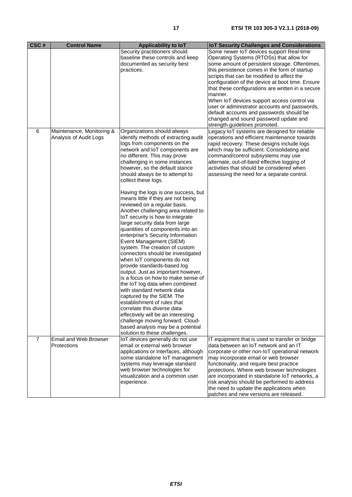| CSC#           | <b>Control Name</b>                                 | Applicability to loT                                                                                                                                                                                                                                                                                                                                                                                                                                                                                                                                                                                                                                                                                                                                                                                                                                                                                                                                                                                                                                                                                                     | <b>IoT Security Challenges and Considerations</b>                                                                                                                                                                                                                                                                                                                                                                                                                                                                                                                               |
|----------------|-----------------------------------------------------|--------------------------------------------------------------------------------------------------------------------------------------------------------------------------------------------------------------------------------------------------------------------------------------------------------------------------------------------------------------------------------------------------------------------------------------------------------------------------------------------------------------------------------------------------------------------------------------------------------------------------------------------------------------------------------------------------------------------------------------------------------------------------------------------------------------------------------------------------------------------------------------------------------------------------------------------------------------------------------------------------------------------------------------------------------------------------------------------------------------------------|---------------------------------------------------------------------------------------------------------------------------------------------------------------------------------------------------------------------------------------------------------------------------------------------------------------------------------------------------------------------------------------------------------------------------------------------------------------------------------------------------------------------------------------------------------------------------------|
|                |                                                     | Security practitioners should<br>baseline these controls and keep<br>documented as security best<br>practices.                                                                                                                                                                                                                                                                                                                                                                                                                                                                                                                                                                                                                                                                                                                                                                                                                                                                                                                                                                                                           | Some newer IoT devices support Real-time<br>Operating Systems (RTOSs) that allow for<br>some amount of persistent storage. Oftentimes,<br>this persistence comes in the form of startup<br>scripts that can be modified to affect the<br>configuration of the device at boot time. Ensure<br>that these configurations are written in a secure<br>manner.<br>When IoT devices support access control via<br>user or administrator accounts and passwords,<br>default accounts and passwords should be<br>changed and sound password update and<br>strength guidelines promoted. |
| 6              | Maintenance, Monitoring &<br>Analysis of Audit Logs | Organizations should always<br>identify methods of extracting audit<br>logs from components on the<br>network and IoT components are<br>no different. This may prove<br>challenging in some instances<br>however, so the default stance<br>should always be to attempt to<br>collect these logs.<br>Having the logs is one success, but<br>means little if they are not being<br>reviewed on a regular basis.<br>Another challenging area related to<br>IoT security is how to integrate<br>large security data from large<br>quantities of components into an<br>enterprise's Security Information<br>Event Management (SIEM)<br>system. The creation of custom<br>connectors should be investigated<br>when IoT components do not<br>provide standards-based log<br>output. Just as important however,<br>is a focus on how to make sense of<br>the IoT log data when combined<br>with standard network data<br>captured by the SIEM. The<br>establishment of rules that<br>correlate this diverse data<br>effectively will be an interesting<br>challenge moving forward. Cloud-<br>based analysis may be a potential | Legacy IoT systems are designed for reliable<br>operations and efficient maintenance towards<br>rapid recovery. These designs include logs<br>which may be sufficient. Consolidating and<br>command/control subsystems may use<br>alternate, out-of-band effective logging of<br>activities that should be considered when<br>assessing the need for a separate control.                                                                                                                                                                                                        |
| $\overline{7}$ | <b>Email and Web Browser</b><br>Protections         | solution to these challenges.<br>IoT devices generally do not use<br>email or external web browser<br>applications or interfaces, although<br>some standalone IoT management<br>systems may leverage standard<br>web browser technologies for<br>visualization and a common user<br>experience.                                                                                                                                                                                                                                                                                                                                                                                                                                                                                                                                                                                                                                                                                                                                                                                                                          | IT equipment that is used to transfer or bridge<br>data between an IoT network and an IT<br>corporate or other non-IoT operational network<br>may incorporate email or web browser<br>functionality, and require best practice<br>protections. Where web browser technologies<br>are incorporated in standalone IoT networks, a<br>risk analysis should be performed to address<br>the need to update the applications when<br>patches and new versions are released.                                                                                                           |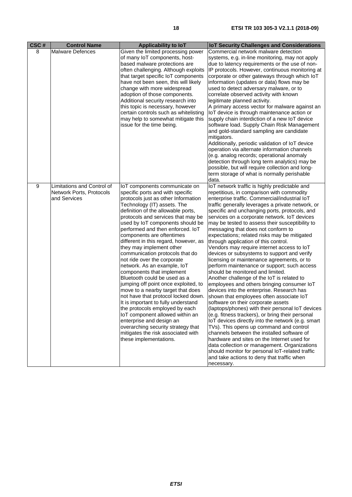| CSC# | <b>Control Name</b>                                                    | <b>Applicability to loT</b>                                                                                                                                                                                                                                                                                                                                                                                                                                                                                                                                                                                                                                                                                                                                                                                                                                                                                                   | <b>IoT Security Challenges and Considerations</b>                                                                                                                                                                                                                                                                                                                                                                                                                                                                                                                                                                                                                                                                                                                                                                                                                                                                                                                                                                                                                                                                                                                                                                                                                                                                                                                                                               |
|------|------------------------------------------------------------------------|-------------------------------------------------------------------------------------------------------------------------------------------------------------------------------------------------------------------------------------------------------------------------------------------------------------------------------------------------------------------------------------------------------------------------------------------------------------------------------------------------------------------------------------------------------------------------------------------------------------------------------------------------------------------------------------------------------------------------------------------------------------------------------------------------------------------------------------------------------------------------------------------------------------------------------|-----------------------------------------------------------------------------------------------------------------------------------------------------------------------------------------------------------------------------------------------------------------------------------------------------------------------------------------------------------------------------------------------------------------------------------------------------------------------------------------------------------------------------------------------------------------------------------------------------------------------------------------------------------------------------------------------------------------------------------------------------------------------------------------------------------------------------------------------------------------------------------------------------------------------------------------------------------------------------------------------------------------------------------------------------------------------------------------------------------------------------------------------------------------------------------------------------------------------------------------------------------------------------------------------------------------------------------------------------------------------------------------------------------------|
| 8    | <b>Malware Defences</b>                                                | Given the limited processing power<br>of many IoT components, host-<br>based malware protections are<br>often challenging. Although exploits<br>that target specific IoT components<br>have not been seen, this will likely<br>change with more widespread<br>adoption of those components.<br>Additional security research into<br>this topic is necessary, however<br>certain controls such as whitelisting<br>may help to somewhat mitigate this<br>issue for the time being.                                                                                                                                                                                                                                                                                                                                                                                                                                              | Commercial network malware detection<br>systems, e.g. in-line monitoring, may not apply<br>due to latency requirements or the use of non-<br>IP protocols. However, continuous monitoring at<br>corporate or other gateways through which IoT<br>information (updates or data) flows may be<br>used to detect adversary malware, or to<br>correlate observed activity with known<br>legitimate planned activity.<br>A primary access vector for malware against an<br>IoT device is through maintenance action or<br>supply chain interdiction of a new IoT device<br>software load. Supply Chain Risk Management<br>and gold-standard sampling are candidate<br>mitigators.<br>Additionally, periodic validation of IoT device<br>operation via alternate information channels<br>(e.g. analog records; operational anomaly<br>detection through long term analytics) may be<br>possible, but will require collection and long-<br>term storage of what is normally perishable<br>data.                                                                                                                                                                                                                                                                                                                                                                                                                        |
| 9    | Limitations and Control of<br>Network Ports, Protocols<br>and Services | IoT components communicate on<br>specific ports and with specific<br>protocols just as other Information<br>Technology (IT) assets. The<br>definition of the allowable ports,<br>protocols and services that may be<br>used by IoT components should be<br>performed and then enforced. IoT<br>components are oftentimes<br>different in this regard, however, as<br>they may implement other<br>communication protocols that do<br>not ride over the corporate<br>network. As an example, IoT<br>components that implement<br>Bluetooth could be used as a<br>jumping off point once exploited, to<br>move to a nearby target that does<br>not have that protocol locked down.<br>It is important to fully understand<br>the protocols employed by each<br>IoT component allowed within an<br>enterprise and design an<br>overarching security strategy that<br>mitigates the risk associated with<br>these implementations. | IoT network traffic is highly predictable and<br>repetitious, in comparison with commodity<br>enterprise traffic. Commercial/industrial IoT<br>traffic generally leverages a private network, or<br>specific and unchanging ports, protocols, and<br>services on a corporate network. IoT devices<br>may be tested to assess their susceptibility to<br>messaging that does not conform to<br>expectations; related risks may be mitigated<br>through application of this control.<br>Vendors may require internet access to loT<br>devices or subsystems to support and verify<br>licensing or maintenance agreements, or to<br>perform maintenance or support; such access<br>should be monitored and limited.<br>Another challenge of the IoT is related to<br>employees and others bringing consumer IoT<br>devices into the enterprise. Research has<br>shown that employees often associate IoT<br>software on their corporate assets<br>(laptops/phones) with their personal IoT devices<br>(e.g. fitness trackers), or bring their personal<br>IoT devices directly into the network (e.g. smart<br>TVs). This opens up command and control<br>channels between the installed software of<br>hardware and sites on the Internet used for<br>data collection or management. Organizations<br>should monitor for personal loT-related traffic<br>and take actions to deny that traffic when<br>necessary. |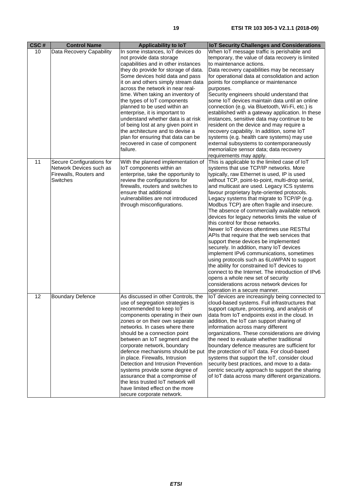| CSC# | <b>Control Name</b>                                                                        | <b>Applicability to loT</b>                                                                                                                                                                                                                                                                                                                                                                                                                                                                                                                                                                           | <b>IoT Security Challenges and Considerations</b>                                                                                                                                                                                                                                                                                                                                                                                                                                                                                                                                                                                                                                                                                                                                                                                                                                                                                                                                                                           |
|------|--------------------------------------------------------------------------------------------|-------------------------------------------------------------------------------------------------------------------------------------------------------------------------------------------------------------------------------------------------------------------------------------------------------------------------------------------------------------------------------------------------------------------------------------------------------------------------------------------------------------------------------------------------------------------------------------------------------|-----------------------------------------------------------------------------------------------------------------------------------------------------------------------------------------------------------------------------------------------------------------------------------------------------------------------------------------------------------------------------------------------------------------------------------------------------------------------------------------------------------------------------------------------------------------------------------------------------------------------------------------------------------------------------------------------------------------------------------------------------------------------------------------------------------------------------------------------------------------------------------------------------------------------------------------------------------------------------------------------------------------------------|
| 10   | Data Recovery Capability                                                                   | In some instances, IoT devices do<br>not provide data storage<br>capabilities and in other instances<br>they do provide for storage of data.<br>Some devices hold data and pass<br>it on and others simply stream data<br>across the network in near real-<br>time. When taking an inventory of<br>the types of IoT components<br>planned to be used within an<br>enterprise, it is important to<br>understand whether data is at risk<br>of being lost at any given point in<br>the architecture and to devise a<br>plan for ensuring that data can be<br>recovered in case of component<br>failure. | When IoT message traffic is perishable and<br>temporary, the value of data recovery is limited<br>to maintenance actions.<br>Data recovery capabilities may be necessary<br>for operational data at consolidation and action<br>points for compliance or maintenance<br>purposes.<br>Security engineers should understand that<br>some IoT devices maintain data until an online<br>connection (e.g. via Bluetooth, Wi-Fi, etc.) is<br>established with a gateway application. In these<br>instances, sensitive data may continue to be<br>resident on the device and may require a<br>recovery capability. In addition, some IoT<br>systems (e.g. health care systems) may use<br>external subsystems to contemporaneously<br>memorialize sensor data; data recovery<br>requirements may apply.                                                                                                                                                                                                                            |
| 11   | Secure Configurations for<br>Network Devices such as<br>Firewalls, Routers and<br>Switches | With the planned implementation of<br>IoT components within an<br>enterprise, take the opportunity to<br>review the configurations for<br>firewalls, routers and switches to<br>ensure that additional<br>vulnerabilities are not introduced<br>through misconfigurations.                                                                                                                                                                                                                                                                                                                            | This is applicable to the limited case of IoT<br>systems that use TCP/IP networks. More<br>typically, raw Ethernet is used, IP is used<br>without TCP, point-to-point, multi-drop serial,<br>and multicast are used. Legacy ICS systems<br>favour proprietary byte-oriented protocols.<br>Legacy systems that migrate to TCP/IP (e.g.<br>Modbus TCP) are often fragile and insecure.<br>The absence of commercially available network<br>devices for legacy networks limits the value of<br>this control for those networks.<br>Newer IoT devices oftentimes use RESTful<br>APIs that require that the web services that<br>support these devices be implemented<br>securely. In addition, many IoT devices<br>implement IPv6 communications, sometimes<br>using protocols such as 6LoWPAN to support<br>the ability for constrained IoT devices to<br>connect to the Internet. The introduction of IPv6<br>opens a whole new set of security<br>considerations across network devices for<br>operation in a secure manner. |
| 12   | <b>Boundary Defence</b>                                                                    | As discussed in other Controls, the<br>use of segregation strategies is<br>recommended to keep loT<br>components operating in their own<br>zones or on their own separate<br>networks. In cases where there<br>should be a connection point<br>between an IoT segment and the<br>corporate network, boundary<br>defence mechanisms should be put<br>in place. Firewalls, Intrusion<br>Detection and Intrusion Prevention<br>systems provide some degree of<br>assurance that a compromise of<br>the less trusted IoT network will<br>have limited effect on the more<br>secure corporate network.     | IoT devices are increasingly being connected to<br>cloud-based systems. Full infrastructures that<br>support capture, processing, and analysis of<br>data from IoT endpoints exist in the cloud. In<br>addition, the IoT can support sharing of<br>information across many different<br>organizations. These considerations are driving<br>the need to evaluate whether traditional<br>boundary defence measures are sufficient for<br>the protection of IoT data. For cloud-based<br>systems that support the IoT, consider cloud<br>security best practices, and move to a data-<br>centric security approach to support the sharing<br>of IoT data across many different organizations.                                                                                                                                                                                                                                                                                                                                  |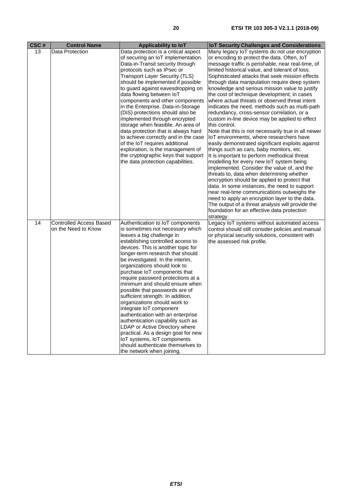| CSC# | <b>Control Name</b>                                   | <b>Applicability to loT</b>                                                                                                                                                                                                                                                                                                                                                                                                                                                                                                                                                                                                                                                                                                                                                       | <b>IoT Security Challenges and Considerations</b>                                                                                                                                                                                                                                                                                                                                                                                                                                                                                                                                                                                                                                                                                                                                                                                                                                                                                                                                                                                                                                                                                                                                                                                                                                                                                          |
|------|-------------------------------------------------------|-----------------------------------------------------------------------------------------------------------------------------------------------------------------------------------------------------------------------------------------------------------------------------------------------------------------------------------------------------------------------------------------------------------------------------------------------------------------------------------------------------------------------------------------------------------------------------------------------------------------------------------------------------------------------------------------------------------------------------------------------------------------------------------|--------------------------------------------------------------------------------------------------------------------------------------------------------------------------------------------------------------------------------------------------------------------------------------------------------------------------------------------------------------------------------------------------------------------------------------------------------------------------------------------------------------------------------------------------------------------------------------------------------------------------------------------------------------------------------------------------------------------------------------------------------------------------------------------------------------------------------------------------------------------------------------------------------------------------------------------------------------------------------------------------------------------------------------------------------------------------------------------------------------------------------------------------------------------------------------------------------------------------------------------------------------------------------------------------------------------------------------------|
| 13   | Data Protection                                       | Data protection is a critical aspect<br>of securing an IoT implementation.<br>Data-in-Transit security through<br>protocols such as IPsec or<br><b>Transport Layer Security (TLS)</b><br>should be implemented if possible<br>to guard against eavesdropping on<br>data flowing between IoT<br>components and other components<br>in the Enterprise. Data-in-Storage<br>(DiS) protections should also be<br>implemented through encrypted<br>storage when feasible. An area of<br>data protection that is always hard<br>to achieve correctly and in the case<br>of the IoT requires additional<br>exploration, is the management of<br>the cryptographic keys that support<br>the data protection capabilities.                                                                  | Many legacy IoT systems do not use encryption<br>or encoding to protect the data. Often, IoT<br>message traffic is perishable, near real-time, of<br>limited historical value, and tolerant of loss.<br>Sophisticated attacks that seek mission effects<br>through data manipulation require deep system<br>knowledge and serious mission value to justify<br>the cost of technique development; in cases<br>where actual threats or observed threat intent<br>indicates the need, methods such as multi-path<br>redundancy, cross-sensor correlation, or a<br>custom in-line device may be applied to effect<br>this control.<br>Note that this is not necessarily true in all newer<br>IoT environments, where researchers have<br>easily demonstrated significant exploits against<br>things such as cars, baby monitors, etc.<br>It is important to perform methodical threat<br>modelling for every new IoT system being<br>implemented. Consider the value of, and the<br>threats to, data when determining whether<br>encryption should be applied to protect that<br>data. In some instances, the need to support<br>near real-time communications outweighs the<br>need to apply an encryption layer to the data.<br>The output of a threat analysis will provide the<br>foundation for an effective data protection<br>strategy. |
| 14   | <b>Controlled Access Based</b><br>on the Need to Know | Authentication to IoT components<br>is sometimes not necessary which<br>leaves a big challenge in<br>establishing controlled access to<br>devices. This is another topic for<br>longer-term research that should<br>be investigated. In the interim,<br>organizations should look to<br>purchase IoT components that<br>require password protections at a<br>minimum and should ensure when<br>possible that passwords are of<br>sufficient strength. In addition,<br>organizations should work to<br>integrate IoT component<br>authentication with an enterprise<br>authentication capability such as<br>LDAP or Active Directory where<br>practical. As a design goal for new<br>IoT systems, IoT components<br>should authenticate themselves to<br>the network when joining. | Legacy IoT systems without automated access<br>control should still consider policies and manual<br>or physical security solutions, consistent with<br>the assessed risk profile.                                                                                                                                                                                                                                                                                                                                                                                                                                                                                                                                                                                                                                                                                                                                                                                                                                                                                                                                                                                                                                                                                                                                                          |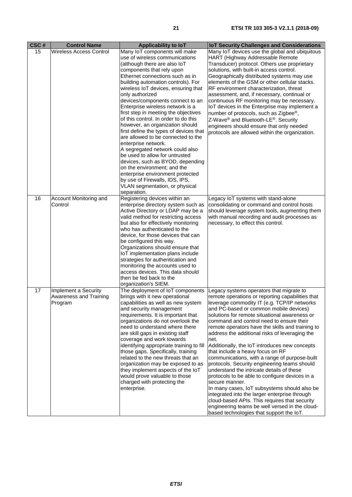| CSC# | <b>Control Name</b>                                       | Applicability to loT                                                                                                                                                                                                                                                                                                                                                                                                                                                                                                                                                                                                                                                                                                                                                                                                             | <b>IoT Security Challenges and Considerations</b>                                                                                                                                                                                                                                                                                                                                                                                                                                                                                                                                                                                                                                                                                                                                                                                                                                                                                                       |
|------|-----------------------------------------------------------|----------------------------------------------------------------------------------------------------------------------------------------------------------------------------------------------------------------------------------------------------------------------------------------------------------------------------------------------------------------------------------------------------------------------------------------------------------------------------------------------------------------------------------------------------------------------------------------------------------------------------------------------------------------------------------------------------------------------------------------------------------------------------------------------------------------------------------|---------------------------------------------------------------------------------------------------------------------------------------------------------------------------------------------------------------------------------------------------------------------------------------------------------------------------------------------------------------------------------------------------------------------------------------------------------------------------------------------------------------------------------------------------------------------------------------------------------------------------------------------------------------------------------------------------------------------------------------------------------------------------------------------------------------------------------------------------------------------------------------------------------------------------------------------------------|
| 15   | <b>Wireless Access Control</b>                            | Many IoT components will make<br>use of wireless communications<br>(although there are also loT<br>components that rely upon<br>Ethernet connections such as in<br>building automation controls). For<br>wireless IoT devices, ensuring that<br>only authorized<br>devices/components connect to an<br>Enterprise wireless network is a<br>first step in meeting the objectives<br>of this control. In order to do this<br>however, an organization should<br>first define the types of devices that<br>are allowed to be connected to the<br>enterprise network.<br>A segregated network could also<br>be used to allow for untrusted<br>devices, such as BYOD, depending<br>on the environment; and the<br>enterprise environment protected<br>by use of Firewalls, IDS, IPS,<br>VLAN segmentation, or physical<br>separation. | Many IoT devices use the global and ubiquitous<br>HART (Highway Addressable Remote<br>Transducer) protocol. Others use proprietary<br>solutions, with built-in access control.<br>Geographically distributed systems may use<br>elements of the GSM or other cellular stacks.<br>RF environment characterization, threat<br>assessment, and, if necessary, continual or<br>continuous RF monitoring may be necessary.<br>IoT devices in the Enterprise may implement a<br>number of protocols, such as Zigbee <sup>®</sup> ,<br>Z-Wave <sup>®</sup> and Bluetooth-LE <sup>®</sup> . Security<br>engineers should ensure that only needed<br>protocols are allowed within the organization.                                                                                                                                                                                                                                                              |
| 16   | Account Monitoring and<br>Control                         | Registering devices within an<br>enterprise directory system such as<br>Active Directory or LDAP may be a<br>valid method for restricting access<br>but also for effectively monitoring<br>who has authenticated to the<br>device, for those devices that can<br>be configured this way.<br>Organizations should ensure that<br>IoT implementation plans include<br>strategies for authentication and<br>monitoring the accounts used to<br>access devices. This data should<br>then be fed back to the<br>organization's SIEM.                                                                                                                                                                                                                                                                                                  | Legacy IoT systems with stand-alone<br>consolidating or command and control hosts<br>should leverage system tools, augmenting them<br>with manual recording and audit processes as<br>necessary, to effect this control.                                                                                                                                                                                                                                                                                                                                                                                                                                                                                                                                                                                                                                                                                                                                |
| 17   | Implement a Security<br>Awareness and Training<br>Program | The deployment of IoT components<br>brings with it new operational<br>capabilities as well as new system<br>and security management<br>requirements. It is important that<br>organizations do not overlook the<br>need to understand where there<br>are skill gaps in existing staff<br>coverage and work towards<br>identifying appropriate training to fill<br>those gaps. Specifically, training<br>related to the new threats that an<br>organization may be exposed to as<br>they implement aspects of the IoT<br>would prove valuable to those<br>charged with protecting the<br>enterprise.                                                                                                                                                                                                                               | Legacy systems operators that migrate to<br>remote operations or reporting capabilities that<br>leverage commodity IT (e.g. TCP/IP networks<br>and PC-based or common mobile devices)<br>solutions for remote situational awareness or<br>command and control need to ensure their<br>remote operators have the skills and training to<br>address the additional risks of leveraging the<br>net.<br>Additionally, the IoT introduces new concepts<br>that include a heavy focus on RF<br>communications, with a range of purpose-built<br>protocols. Security engineering teams should<br>understand the intricate details of these<br>protocols to be able to configure devices in a<br>secure manner.<br>In many cases, IoT subsystems should also be<br>integrated into the larger enterprise through<br>cloud-based APIs. This requires that security<br>engineering teams be well versed in the cloud-<br>based technologies that support the IoT. |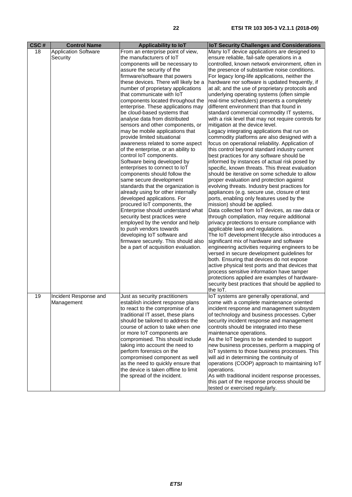| CSC#<br>18 | <b>Control Name</b><br><b>Application Software</b><br>Security | Applicability to IoT<br>From an enterprise point of view,<br>the manufacturers of IoT<br>components will be necessary to<br>assure the security of the<br>firmware/software that powers<br>these devices. There will likely be a<br>number of proprietary applications<br>that communicate with IoT<br>components located throughout the<br>enterprise. These applications may<br>be cloud-based systems that<br>analyse data from distributed<br>sensors and other components, or<br>may be mobile applications that<br>provide limited situational<br>awareness related to some aspect<br>of the enterprise, or an ability to<br>control IoT components.<br>Software being developed by<br>enterprises to connect to loT<br>components should follow the<br>same secure development<br>standards that the organization is<br>already using for other internally<br>developed applications. For<br>procured IoT components, the<br>Enterprise should understand what<br>security best practices were<br>employed by the vendor and help<br>to push vendors towards<br>developing IoT software and<br>firmware securely. This should also<br>be a part of acquisition evaluation. | <b>IoT Security Challenges and Considerations</b><br>Many IoT device applications are designed to<br>ensure reliable, fail-safe operations in a<br>controlled, known network environment, often in<br>the presence of substantive noise conditions.<br>For legacy long-life applications, neither the<br>hardware nor software is updated frequently, if<br>at all; and the use of proprietary protocols and<br>underlying operating systems (often simple<br>real-time schedulers) presents a completely<br>different environment than that found in<br>standard commercial commodity IT systems,<br>with a risk level that may not require controls for<br>mitigation at the device level.<br>Legacy integrating applications that run on<br>commodity platforms are also designed with a<br>focus on operational reliability. Application of<br>this control beyond standard industry current<br>best practices for any software should be<br>informed by instances of actual risk posed by<br>specific, known threats. This threat evaluation<br>should be iterative on some schedule to allow<br>proper evaluation and protection against<br>evolving threats. Industry best practices for<br>appliances (e.g. secure use, closure of test<br>ports, enabling only features used by the<br>mission) should be applied.<br>Data collected from IoT devices, as raw data or<br>through compilation, may require additional<br>privacy protections to ensure compliance with<br>applicable laws and regulations.<br>The IoT development lifecycle also introduces a<br>significant mix of hardware and software<br>engineering activities requiring engineers to be<br>versed in secure development guidelines for<br>both. Ensuring that devices do not expose<br>active physical test ports and that devices that<br>process sensitive information have tamper<br>protections applied are examples of hardware-<br>security best practices that should be applied to |
|------------|----------------------------------------------------------------|-----------------------------------------------------------------------------------------------------------------------------------------------------------------------------------------------------------------------------------------------------------------------------------------------------------------------------------------------------------------------------------------------------------------------------------------------------------------------------------------------------------------------------------------------------------------------------------------------------------------------------------------------------------------------------------------------------------------------------------------------------------------------------------------------------------------------------------------------------------------------------------------------------------------------------------------------------------------------------------------------------------------------------------------------------------------------------------------------------------------------------------------------------------------------------------|--------------------------------------------------------------------------------------------------------------------------------------------------------------------------------------------------------------------------------------------------------------------------------------------------------------------------------------------------------------------------------------------------------------------------------------------------------------------------------------------------------------------------------------------------------------------------------------------------------------------------------------------------------------------------------------------------------------------------------------------------------------------------------------------------------------------------------------------------------------------------------------------------------------------------------------------------------------------------------------------------------------------------------------------------------------------------------------------------------------------------------------------------------------------------------------------------------------------------------------------------------------------------------------------------------------------------------------------------------------------------------------------------------------------------------------------------------------------------------------------------------------------------------------------------------------------------------------------------------------------------------------------------------------------------------------------------------------------------------------------------------------------------------------------------------------------------------------------------------------------------------------------------------------------------------------------------------------------------|
| 19         | Incident Response and<br>Management                            | Just as security practitioners<br>establish incident response plans<br>to react to the compromise of a<br>traditional IT asset, these plans<br>should be tailored to address the<br>course of action to take when one<br>or more IoT components are<br>compromised. This should include<br>taking into account the need to<br>perform forensics on the<br>compromised component as well<br>as the need to quickly ensure that<br>the device is taken offline to limit<br>the spread of the incident.                                                                                                                                                                                                                                                                                                                                                                                                                                                                                                                                                                                                                                                                              | the IoT.<br>IoT systems are generally operational, and<br>come with a complete maintenance oriented<br>incident response and management subsystem<br>of technology and business processes. Cyber<br>security incident response and management<br>controls should be integrated into these<br>maintenance operations.<br>As the IoT begins to be extended to support<br>new business processes, perform a mapping of<br>IoT systems to those business processes. This<br>will aid in determining the continuity of<br>operations (COOP) approach to maintaining IoT<br>operations.<br>As with traditional incident response processes,<br>this part of the response process should be<br>tested or exercised regularly.                                                                                                                                                                                                                                                                                                                                                                                                                                                                                                                                                                                                                                                                                                                                                                                                                                                                                                                                                                                                                                                                                                                                                                                                                                                   |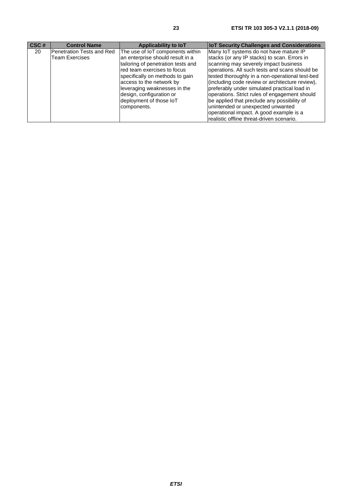| CSC# | <b>Control Name</b>       | Applicability to IoT               | <b>IoT Security Challenges and Considerations</b> |
|------|---------------------------|------------------------------------|---------------------------------------------------|
| 20   | Penetration Tests and Red | The use of IoT components within   | Many IoT systems do not have mature IP            |
|      | Team Exercises            | an enterprise should result in a   | stacks (or any IP stacks) to scan. Errors in      |
|      |                           | tailoring of penetration tests and | scanning may severely impact business             |
|      |                           | red team exercises to focus        | operations. All such tests and scans should be    |
|      |                           | specifically on methods to gain    | tested thoroughly in a non-operational test-bed   |
|      |                           | access to the network by           | (including code review or architecture review),   |
|      |                           | leveraging weaknesses in the       | preferably under simulated practical load in      |
|      |                           | design, configuration or           | operations. Strict rules of engagement should     |
|      |                           | deployment of those IoT            | be applied that preclude any possibility of       |
|      |                           | components.                        | unintended or unexpected unwanted                 |
|      |                           |                                    | operational impact. A good example is a           |
|      |                           |                                    | realistic offline threat-driven scenario.         |